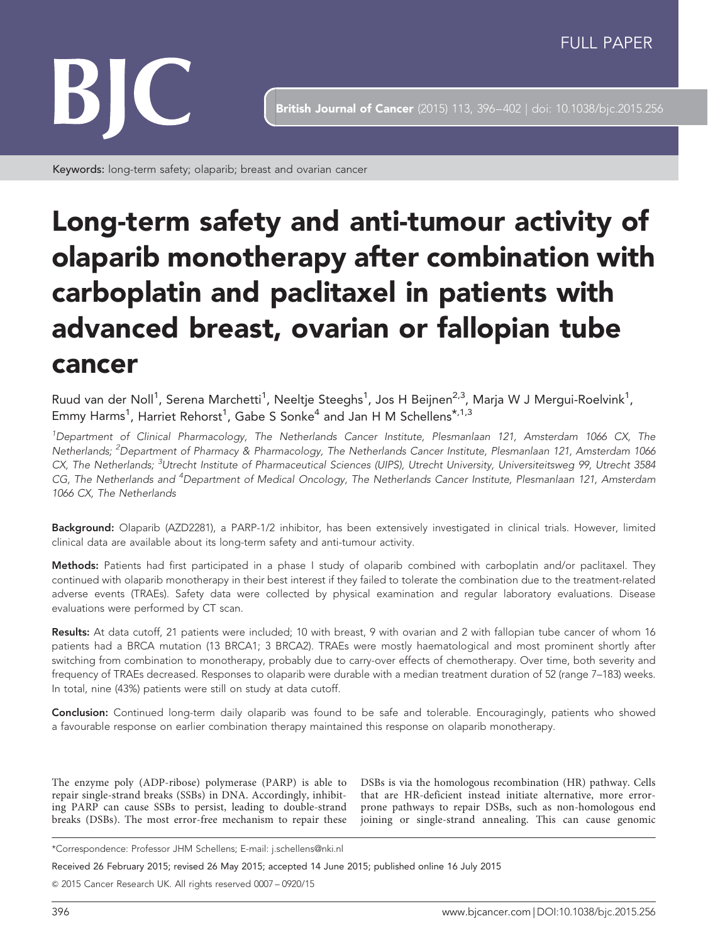

**British Journal of Cancer** (2015) 113, 396-402 | doi: 10.1038/bjc.2015.256

Keywords: long-term safety; olaparib; breast and ovarian cancer

# Long-term safety and anti-tumour activity of olaparib monotherapy after combination with carboplatin and paclitaxel in patients with advanced breast, ovarian or fallopian tube cancer

Ruud van der Noll<sup>1</sup>, Serena Marchetti<sup>1</sup>, Neeltje Steeghs<sup>1</sup>, Jos H Beijnen<sup>2,3</sup>, Marja W J Mergui-Roelvink<sup>1</sup>, Emmy Harms $^1$ , Harriet Rehorst $^1$ , Gabe S Sonke $^4$  and Jan H M Schellens $^{\star,1,3}$ 

<sup>1</sup>Department of Clinical Pharmacology, The Netherlands Cancer Institute, Plesmanlaan 121, Amsterdam 1066 CX, The Netherlands; <sup>2</sup>Department of Pharmacy & Pharmacology, The Netherlands Cancer Institute, Plesmanlaan 121, Amsterdam 1066 CX, The Netherlands; <sup>3</sup>Utrecht Institute of Pharmaceutical Sciences (UIPS), Utrecht University, Universiteitsweg 99, Utrecht 3584 CG, The Netherlands and <sup>4</sup>Department of Medical Oncology, The Netherlands Cancer Institute, Plesmanlaan 121, Amsterdam 1066 CX, The Netherlands

Background: Olaparib (AZD2281), a PARP-1/2 inhibitor, has been extensively investigated in clinical trials. However, limited clinical data are available about its long-term safety and anti-tumour activity.

Methods: Patients had first participated in a phase I study of olaparib combined with carboplatin and/or paclitaxel. They continued with olaparib monotherapy in their best interest if they failed to tolerate the combination due to the treatment-related adverse events (TRAEs). Safety data were collected by physical examination and regular laboratory evaluations. Disease evaluations were performed by CT scan.

Results: At data cutoff, 21 patients were included; 10 with breast, 9 with ovarian and 2 with fallopian tube cancer of whom 16 patients had a BRCA mutation (13 BRCA1; 3 BRCA2). TRAEs were mostly haematological and most prominent shortly after switching from combination to monotherapy, probably due to carry-over effects of chemotherapy. Over time, both severity and frequency of TRAEs decreased. Responses to olaparib were durable with a median treatment duration of 52 (range 7–183) weeks. In total, nine (43%) patients were still on study at data cutoff.

Conclusion: Continued long-term daily olaparib was found to be safe and tolerable. Encouragingly, patients who showed a favourable response on earlier combination therapy maintained this response on olaparib monotherapy.

The enzyme poly (ADP-ribose) polymerase (PARP) is able to repair single-strand breaks (SSBs) in DNA. Accordingly, inhibiting PARP can cause SSBs to persist, leading to double-strand breaks (DSBs). The most error-free mechanism to repair these

DSBs is via the homologous recombination (HR) pathway. Cells that are HR-deficient instead initiate alternative, more errorprone pathways to repair DSBs, such as non-homologous end joining or single-strand annealing. This can cause genomic

Received 26 February 2015; revised 26 May 2015; accepted 14 June 2015; published online 16 July 2015

& 2015 Cancer Research UK. All rights reserved 0007 – 0920/15

<sup>\*</sup>Correspondence: Professor JHM Schellens; E-mail: [j.schellens@nki.nl](mailto:j.schellens@nki.nl)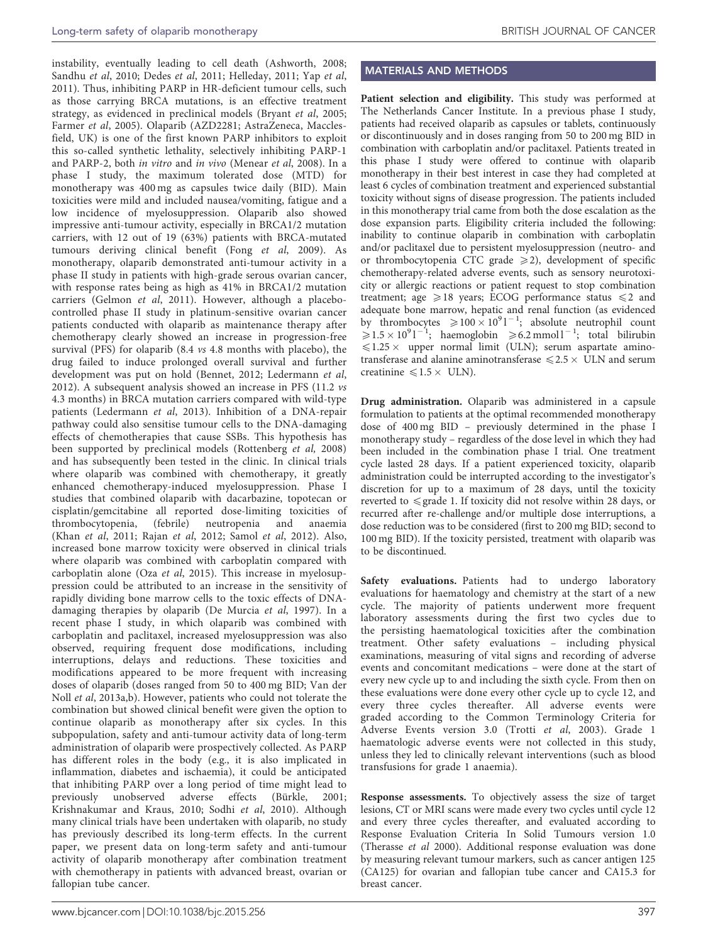instability, eventually leading to cell death [\(Ashworth, 2008;](#page-5-0) [Sandhu](#page-5-0) et al, 2010; Dedes et al[, 2011](#page-5-0); [Helleday, 2011](#page-5-0); Yap [et al](#page-6-0),

[2011\)](#page-6-0). Thus, inhibiting PARP in HR-deficient tumour cells, such as those carrying BRCA mutations, is an effective treatment strategy, as evidenced in preclinical models [\(Bryant](#page-5-0) et al, 2005; [Farmer](#page-5-0) et al, 2005). Olaparib (AZD2281; AstraZeneca, Macclesfield, UK) is one of the first known PARP inhibitors to exploit this so-called synthetic lethality, selectively inhibiting PARP-1 and PARP-2, both in vitro and in vivo ([Menear](#page-5-0) et al, 2008). In a phase I study, the maximum tolerated dose (MTD) for monotherapy was 400 mg as capsules twice daily (BID). Main toxicities were mild and included nausea/vomiting, fatigue and a low incidence of myelosuppression. Olaparib also showed impressive anti-tumour activity, especially in BRCA1/2 mutation carriers, with 12 out of 19 (63%) patients with BRCA-mutated tumours deriving clinical benefit (Fong et al[, 2009\)](#page-5-0). As monotherapy, olaparib demonstrated anti-tumour activity in a phase II study in patients with high-grade serous ovarian cancer, with response rates being as high as 41% in BRCA1/2 mutation carriers [\(Gelmon](#page-5-0) et al, 2011). However, although a placebocontrolled phase II study in platinum-sensitive ovarian cancer patients conducted with olaparib as maintenance therapy after chemotherapy clearly showed an increase in progression-free survival (PFS) for olaparib (8.4 vs 4.8 months with placebo), the drug failed to induce prolonged overall survival and further development was put on hold [\(Bennet, 2012](#page-5-0); [Ledermann](#page-5-0) et al, [2012\)](#page-5-0). A subsequent analysis showed an increase in PFS (11.2 vs 4.3 months) in BRCA mutation carriers compared with wild-type patients [\(Ledermann](#page-5-0) et al, 2013). Inhibition of a DNA-repair pathway could also sensitise tumour cells to the DNA-damaging effects of chemotherapies that cause SSBs. This hypothesis has been supported by preclinical models ([Rottenberg](#page-5-0) et al, 2008) and has subsequently been tested in the clinic. In clinical trials where olaparib was combined with chemotherapy, it greatly enhanced chemotherapy-induced myelosuppression. Phase I studies that combined olaparib with dacarbazine, topotecan or cisplatin/gemcitabine all reported dose-limiting toxicities of thrombocytopenia, (febrile) neutropenia and anaemia (Khan et al[, 2011](#page-5-0); Rajan et al[, 2012](#page-5-0); Samol et al[, 2012](#page-5-0)). Also, increased bone marrow toxicity were observed in clinical trials where olaparib was combined with carboplatin compared with carboplatin alone (Oza et al[, 2015](#page-5-0)). This increase in myelosuppression could be attributed to an increase in the sensitivity of rapidly dividing bone marrow cells to the toxic effects of DNAdamaging therapies by olaparib ([De Murcia](#page-5-0) et al, 1997). In a recent phase I study, in which olaparib was combined with carboplatin and paclitaxel, increased myelosuppression was also observed, requiring frequent dose modifications, including interruptions, delays and reductions. These toxicities and modifications appeared to be more frequent with increasing doses of olaparib (doses ranged from 50 to 400 mg BID; [Van der](#page-6-0) Noll et al[, 2013a,b\)](#page-6-0). However, patients who could not tolerate the combination but showed clinical benefit were given the option to continue olaparib as monotherapy after six cycles. In this subpopulation, safety and anti-tumour activity data of long-term administration of olaparib were prospectively collected. As PARP has different roles in the body (e.g., it is also implicated in inflammation, diabetes and ischaemia), it could be anticipated that inhibiting PARP over a long period of time might lead to previously unobserved adverse effects (Bürkle, 2001; [Krishnakumar and Kraus, 2010](#page-5-0); Sodhi et al[, 2010\)](#page-6-0). Although many clinical trials have been undertaken with olaparib, no study has previously described its long-term effects. In the current paper, we present data on long-term safety and anti-tumour activity of olaparib monotherapy after combination treatment with chemotherapy in patients with advanced breast, ovarian or

## MATERIALS AND METHODS

Patient selection and eligibility. This study was performed at The Netherlands Cancer Institute. In a previous phase I study, patients had received olaparib as capsules or tablets, continuously or discontinuously and in doses ranging from 50 to 200 mg BID in combination with carboplatin and/or paclitaxel. Patients treated in this phase I study were offered to continue with olaparib monotherapy in their best interest in case they had completed at least 6 cycles of combination treatment and experienced substantial toxicity without signs of disease progression. The patients included in this monotherapy trial came from both the dose escalation as the dose expansion parts. Eligibility criteria included the following: inability to continue olaparib in combination with carboplatin and/or paclitaxel due to persistent myelosuppression (neutro- and or thrombocytopenia CTC grade  $\geq$ 2), development of specific chemotherapy-related adverse events, such as sensory neurotoxicity or allergic reactions or patient request to stop combination treatment; age  $\geq 18$  years; ECOG performance status  $\leq 2$  and adequate bone marrow, hepatic and renal function (as evidenced by thrombocytes  $\geq 100 \times 10^{9}$ l<sup>-1</sup>; absolute neutrophil count  $\geq 1.5 \times 10^{9}$ l<sup>-1</sup>; haemoglobin  $\geq 6.2$  mmol l<sup>-1</sup>; total bilirubin  $\leq 1.25 \times$  upper normal limit (ULN); serum aspartate aminotransferase and alanine aminotransferase  $\leq 2.5 \times$  ULN and serum creatinine  $\leq 1.5 \times$  ULN).

Drug administration. Olaparib was administered in a capsule formulation to patients at the optimal recommended monotherapy dose of 400 mg BID – previously determined in the phase I monotherapy study – regardless of the dose level in which they had been included in the combination phase I trial. One treatment cycle lasted 28 days. If a patient experienced toxicity, olaparib administration could be interrupted according to the investigator's discretion for up to a maximum of 28 days, until the toxicity reverted to  $\le$  grade 1. If toxicity did not resolve within 28 days, or recurred after re-challenge and/or multiple dose interruptions, a dose reduction was to be considered (first to 200 mg BID; second to 100 mg BID). If the toxicity persisted, treatment with olaparib was to be discontinued.

Safety evaluations. Patients had to undergo laboratory evaluations for haematology and chemistry at the start of a new cycle. The majority of patients underwent more frequent laboratory assessments during the first two cycles due to the persisting haematological toxicities after the combination treatment. Other safety evaluations – including physical examinations, measuring of vital signs and recording of adverse events and concomitant medications – were done at the start of every new cycle up to and including the sixth cycle. From then on these evaluations were done every other cycle up to cycle 12, and every three cycles thereafter. All adverse events were graded according to the Common Terminology Criteria for Adverse Events version 3.0 (Trotti et al[, 2003](#page-6-0)). Grade 1 haematologic adverse events were not collected in this study, unless they led to clinically relevant interventions (such as blood transfusions for grade 1 anaemia).

Response assessments. To objectively assess the size of target lesions, CT or MRI scans were made every two cycles until cycle 12 and every three cycles thereafter, and evaluated according to Response Evaluation Criteria In Solid Tumours version 1.0 ([Therasse](#page-6-0) et al 2000). Additional response evaluation was done by measuring relevant tumour markers, such as cancer antigen 125 (CA125) for ovarian and fallopian tube cancer and CA15.3 for breast cancer.

fallopian tube cancer.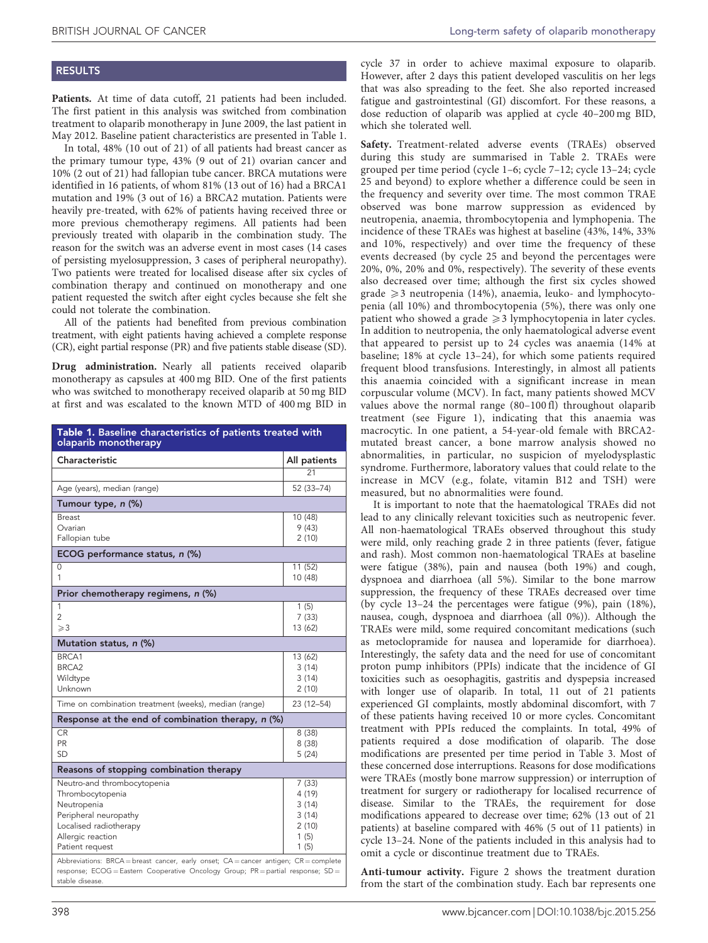### RESULTS

Patients. At time of data cutoff, 21 patients had been included. The first patient in this analysis was switched from combination treatment to olaparib monotherapy in June 2009, the last patient in May 2012. Baseline patient characteristics are presented in Table 1.

In total, 48% (10 out of 21) of all patients had breast cancer as the primary tumour type, 43% (9 out of 21) ovarian cancer and 10% (2 out of 21) had fallopian tube cancer. BRCA mutations were identified in 16 patients, of whom 81% (13 out of 16) had a BRCA1 mutation and 19% (3 out of 16) a BRCA2 mutation. Patients were heavily pre-treated, with 62% of patients having received three or more previous chemotherapy regimens. All patients had been previously treated with olaparib in the combination study. The reason for the switch was an adverse event in most cases (14 cases of persisting myelosuppression, 3 cases of peripheral neuropathy). Two patients were treated for localised disease after six cycles of combination therapy and continued on monotherapy and one patient requested the switch after eight cycles because she felt she could not tolerate the combination.

All of the patients had benefited from previous combination treatment, with eight patients having achieved a complete response (CR), eight partial response (PR) and five patients stable disease (SD).

Drug administration. Nearly all patients received olaparib monotherapy as capsules at 400 mg BID. One of the first patients who was switched to monotherapy received olaparib at 50 mg BID at first and was escalated to the known MTD of 400 mg BID in

| Table 1. Baseline characteristics of patients treated with<br>olaparib monotherapy                                                                        |                                                            |  |  |  |  |
|-----------------------------------------------------------------------------------------------------------------------------------------------------------|------------------------------------------------------------|--|--|--|--|
| Characteristic                                                                                                                                            | All patients                                               |  |  |  |  |
|                                                                                                                                                           | 21                                                         |  |  |  |  |
| Age (years), median (range)                                                                                                                               | 52 (33-74)                                                 |  |  |  |  |
| Tumour type, n (%)                                                                                                                                        |                                                            |  |  |  |  |
| <b>Breast</b><br>Ovarian<br>Fallopian tube                                                                                                                | 10 (48)<br>9(43)<br>2(10)                                  |  |  |  |  |
| ECOG performance status, n (%)                                                                                                                            |                                                            |  |  |  |  |
| 0<br>1                                                                                                                                                    | 11 (52)<br>10 (48)                                         |  |  |  |  |
| Prior chemotherapy regimens, n (%)                                                                                                                        |                                                            |  |  |  |  |
| 1<br>$\overline{2}$<br>$\geqslant$ 3                                                                                                                      | 1(5)<br>7(33)<br>13 (62)                                   |  |  |  |  |
| Mutation status, n (%)                                                                                                                                    |                                                            |  |  |  |  |
| BRCA1<br>BRCA <sub>2</sub><br>Wildtype<br>Unknown                                                                                                         | 13 (62)<br>3(14)<br>3(14)<br>2(10)                         |  |  |  |  |
| Time on combination treatment (weeks), median (range)                                                                                                     | 23 (12-54)                                                 |  |  |  |  |
| Response at the end of combination therapy, $n$ (%)                                                                                                       |                                                            |  |  |  |  |
| CR<br><b>PR</b><br><b>SD</b>                                                                                                                              | 8 (38)<br>8 (38)<br>5(24)                                  |  |  |  |  |
| Reasons of stopping combination therapy                                                                                                                   |                                                            |  |  |  |  |
| Neutro-and thrombocytopenia<br>Thrombocytopenia<br>Neutropenia<br>Peripheral neuropathy<br>Localised radiotherapy<br>Allergic reaction<br>Patient request | 7(33)<br>4 (19)<br>3(14)<br>3(14)<br>2(10)<br>1(5)<br>1(5) |  |  |  |  |
| Abbreviations: BRCA=breast cancer, early onset; CA=cancer antigen; CR=complete                                                                            |                                                            |  |  |  |  |

response; ECOG = Eastern Cooperative Oncology Group; PR = partial response; SD = stable disease.

cycle 37 in order to achieve maximal exposure to olaparib. However, after 2 days this patient developed vasculitis on her legs that was also spreading to the feet. She also reported increased fatigue and gastrointestinal (GI) discomfort. For these reasons, a dose reduction of olaparib was applied at cycle 40–200 mg BID, which she tolerated well.

Safety. Treatment-related adverse events (TRAEs) observed during this study are summarised in [Table 2.](#page-3-0) TRAEs were grouped per time period (cycle 1–6; cycle 7–12; cycle 13–24; cycle 25 and beyond) to explore whether a difference could be seen in the frequency and severity over time. The most common TRAE observed was bone marrow suppression as evidenced by neutropenia, anaemia, thrombocytopenia and lymphopenia. The incidence of these TRAEs was highest at baseline (43%, 14%, 33% and 10%, respectively) and over time the frequency of these events decreased (by cycle 25 and beyond the percentages were 20%, 0%, 20% and 0%, respectively). The severity of these events also decreased over time; although the first six cycles showed grade  $\geq$ 3 neutropenia (14%), anaemia, leuko- and lymphocytopenia (all 10%) and thrombocytopenia (5%), there was only one patient who showed a grade  $\geq$ 3 lymphocytopenia in later cycles. In addition to neutropenia, the only haematological adverse event that appeared to persist up to 24 cycles was anaemia (14% at baseline; 18% at cycle 13–24), for which some patients required frequent blood transfusions. Interestingly, in almost all patients this anaemia coincided with a significant increase in mean corpuscular volume (MCV). In fact, many patients showed MCV values above the normal range (80–100 fl) throughout olaparib treatment (see [Figure 1\)](#page-3-0), indicating that this anaemia was macrocytic. In one patient, a 54-year-old female with BRCA2 mutated breast cancer, a bone marrow analysis showed no abnormalities, in particular, no suspicion of myelodysplastic syndrome. Furthermore, laboratory values that could relate to the increase in MCV (e.g., folate, vitamin B12 and TSH) were measured, but no abnormalities were found.

It is important to note that the haematological TRAEs did not lead to any clinically relevant toxicities such as neutropenic fever. All non-haematological TRAEs observed throughout this study were mild, only reaching grade 2 in three patients (fever, fatigue and rash). Most common non-haematological TRAEs at baseline were fatigue (38%), pain and nausea (both 19%) and cough, dyspnoea and diarrhoea (all 5%). Similar to the bone marrow suppression, the frequency of these TRAEs decreased over time (by cycle 13–24 the percentages were fatigue (9%), pain (18%), nausea, cough, dyspnoea and diarrhoea (all 0%)). Although the TRAEs were mild, some required concomitant medications (such as metoclopramide for nausea and loperamide for diarrhoea). Interestingly, the safety data and the need for use of concomitant proton pump inhibitors (PPIs) indicate that the incidence of GI toxicities such as oesophagitis, gastritis and dyspepsia increased with longer use of olaparib. In total, 11 out of 21 patients experienced GI complaints, mostly abdominal discomfort, with 7 of these patients having received 10 or more cycles. Concomitant treatment with PPIs reduced the complaints. In total, 49% of patients required a dose modification of olaparib. The dose modifications are presented per time period in [Table 3.](#page-3-0) Most of these concerned dose interruptions. Reasons for dose modifications were TRAEs (mostly bone marrow suppression) or interruption of treatment for surgery or radiotherapy for localised recurrence of disease. Similar to the TRAEs, the requirement for dose modifications appeared to decrease over time; 62% (13 out of 21 patients) at baseline compared with 46% (5 out of 11 patients) in cycle 13–24. None of the patients included in this analysis had to omit a cycle or discontinue treatment due to TRAEs.

Anti-tumour activity. [Figure 2](#page-4-0) shows the treatment duration from the start of the combination study. Each bar represents one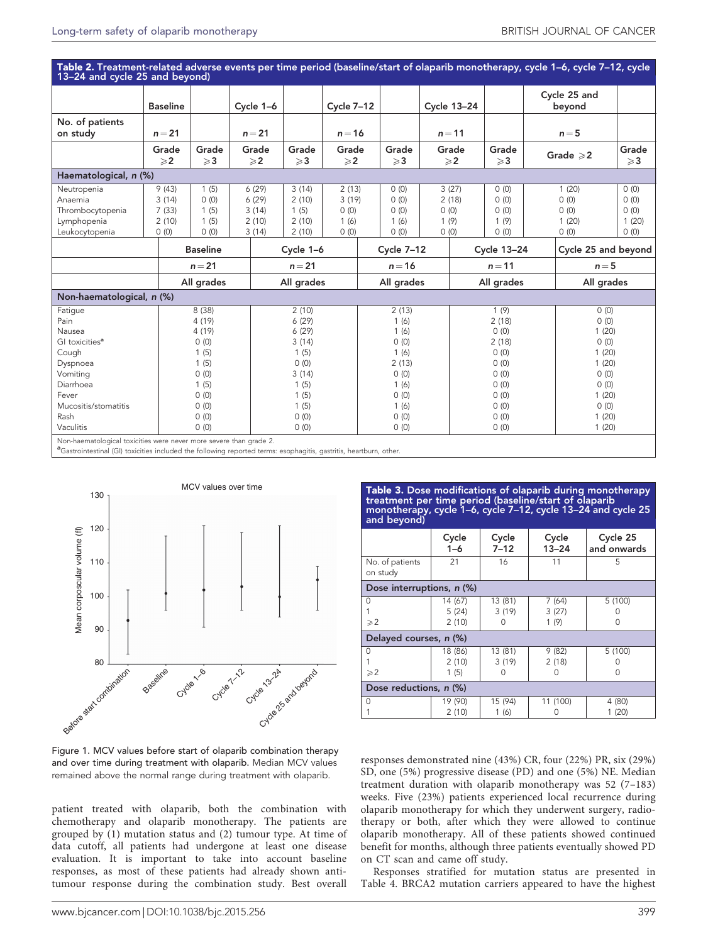<span id="page-3-0"></span>Table 2. Treatment-related adverse events per time period (baseline/start of olaparib monotherapy, cycle 1–6, cycle 7–12, cycle<br>13–24 and cycle 25 and beyond)

| $\sim$ 21 and 9,000 20 and 20 years 200                                                                                                                     |                                          |                                                                                                   |                                            |                                                                                                     |                                        |                                                                                                |                      |                        |                                                                                                |         |                                                                                                    |                                       |
|-------------------------------------------------------------------------------------------------------------------------------------------------------------|------------------------------------------|---------------------------------------------------------------------------------------------------|--------------------------------------------|-----------------------------------------------------------------------------------------------------|----------------------------------------|------------------------------------------------------------------------------------------------|----------------------|------------------------|------------------------------------------------------------------------------------------------|---------|----------------------------------------------------------------------------------------------------|---------------------------------------|
|                                                                                                                                                             | <b>Baseline</b>                          |                                                                                                   | Cycle $1-6$                                |                                                                                                     | <b>Cycle 7-12</b>                      |                                                                                                |                      | <b>Cycle 13-24</b>     |                                                                                                |         | Cycle 25 and<br>beyond                                                                             |                                       |
| No. of patients<br>on study                                                                                                                                 | $n = 21$                                 |                                                                                                   | $n = 21$                                   |                                                                                                     | $n = 16$                               |                                                                                                |                      | $n = 11$               |                                                                                                |         | $n=5$                                                                                              |                                       |
|                                                                                                                                                             | Grade<br>$\geqslant$ 2                   | Grade<br>$\geqslant$ 3                                                                            | Grade<br>$\geqslant$ 2                     | Grade<br>$\geqslant$ 3                                                                              | Grade<br>$\geqslant$ 2                 | Grade<br>$\geqslant$ 3                                                                         |                      | Grade<br>$\geqslant$ 2 | Grade<br>$\geqslant$ 3                                                                         |         | Grade $\geqslant$ 2                                                                                | Grade<br>$\geqslant$ 3                |
| Haematological, n (%)                                                                                                                                       |                                          |                                                                                                   |                                            |                                                                                                     |                                        |                                                                                                |                      |                        |                                                                                                |         |                                                                                                    |                                       |
| Neutropenia<br>Anaemia<br>Thrombocytopenia<br>Lymphopenia<br>Leukocytopenia                                                                                 | 9(43)<br>3(14)<br>7(33)<br>2(10)<br>0(0) | 1(5)<br>0(0)<br>1(5)<br>1(5)<br>O(0)                                                              | 6(29)<br>6 (29)<br>3(14)<br>2(10)<br>3(14) | 3(14)<br>2(10)<br>1(5)<br>2(10)<br>2(10)                                                            | 2(13)<br>3(19)<br>0(0)<br>1(6)<br>0(0) | 0(0)<br>0(0)<br>0(0)<br>1(6)<br>0(0)                                                           | 0(0)<br>1(9)<br>0(0) | 3(27)<br>2(18)         | 0(0)<br>0(0)<br>0(0)<br>1(9)<br>0(0)                                                           |         | 1(20)<br>0(0)<br>0(0)<br>1(20)<br>0(0)                                                             | 0(0)<br>O(0)<br>0(0)<br>1(20)<br>0(0) |
| <b>Baseline</b>                                                                                                                                             |                                          |                                                                                                   |                                            | <b>Cycle 7-12</b><br>Cycle 1-6                                                                      |                                        |                                                                                                | Cycle 13-24          |                        |                                                                                                |         | Cycle 25 and beyond                                                                                |                                       |
|                                                                                                                                                             | $n = 21$                                 |                                                                                                   |                                            | $n = 21$                                                                                            |                                        | $n = 16$                                                                                       |                      |                        | $n = 11$                                                                                       | $n = 5$ |                                                                                                    |                                       |
| All grades                                                                                                                                                  |                                          |                                                                                                   | All grades                                 |                                                                                                     | All grades                             | All grades                                                                                     |                      | All grades             |                                                                                                |         |                                                                                                    |                                       |
| Non-haematological, n (%)                                                                                                                                   |                                          |                                                                                                   |                                            |                                                                                                     |                                        |                                                                                                |                      |                        |                                                                                                |         |                                                                                                    |                                       |
| Fatique<br>Pain<br>Nausea<br>GI toxicities <sup>a</sup><br>Cough<br>Dyspnoea<br>Vomiting<br>Diarrhoea<br>Fever<br>Mucositis/stomatitis<br>Rash<br>Vaculitis |                                          | 8 (38)<br>4(19)<br>4 (19)<br>0(0)<br>1(5)<br>1(5)<br>0(0)<br>1(5)<br>0(0)<br>0(0)<br>O(0)<br>0(0) |                                            | 2(10)<br>6 (29)<br>6 (29)<br>3(14)<br>1(5)<br>0(0)<br>3(14)<br>1(5)<br>1(5)<br>1(5)<br>0(0)<br>0(0) |                                        | 2(13)<br>1(6)<br>1(6)<br>0(0)<br>1(6)<br>2(13)<br>0(0)<br>1(6)<br>0(0)<br>1(6)<br>0(0)<br>0(0) |                      |                        | 1(9)<br>2(18)<br>0(0)<br>2(18)<br>0(0)<br>0(0)<br>0(0)<br>0(0)<br>0(0)<br>0(0)<br>0(0)<br>0(0) |         | 0(0)<br>0(0)<br>1(20)<br>0(0)<br>1(20)<br>1(20)<br>0(0)<br>0(0)<br>1(20)<br>0(0)<br>1(20)<br>1(20) |                                       |
| Non-haematological toxicities were never more severe than grade 2.                                                                                          |                                          |                                                                                                   |                                            |                                                                                                     |                                        |                                                                                                |                      |                        |                                                                                                |         |                                                                                                    |                                       |

<sup>a</sup>Gastrointestinal (GI) toxicities included the following reported terms: esophagitis, gastritis, heartburn, other.



Table 3. Dose modifications of olaparib during monotherapy<br>treatment per time period (baseline/start of olaparib monotherapy, cycle 1–6, cycle 7–12, cycle 13–24 and cycle 25 and beyond)

|                             | Cycle<br>$1 - 6$ | Cycle<br>$7 - 12$ | Cycle<br>$13 - 24$ | Cycle 25<br>and onwards |  |  |  |  |
|-----------------------------|------------------|-------------------|--------------------|-------------------------|--|--|--|--|
| No. of patients<br>on study | 21               | 16                | 11                 | 5                       |  |  |  |  |
| Dose interruptions, n (%)   |                  |                   |                    |                         |  |  |  |  |
| $\Omega$                    | 14 (67)          | 13 (81)           | 7(64)              | 5(100)                  |  |  |  |  |
|                             | 5(24)            | 3(19)             | 3(27)              |                         |  |  |  |  |
| $\geqslant$ 2               | 2(10)            | $\Omega$          | 1(9)               | Ω                       |  |  |  |  |
| Delayed courses, n (%)      |                  |                   |                    |                         |  |  |  |  |
| $\Omega$                    | 18 (86)          | 13 (81)           | 9(82)              | 5(100)                  |  |  |  |  |
|                             | 2(10)            | 3(19)             | 2(18)              |                         |  |  |  |  |
| $\geqslant$ 2               | 1(5)             | O                 | U                  | $\Omega$                |  |  |  |  |
| Dose reductions, n (%)      |                  |                   |                    |                         |  |  |  |  |
| $\Omega$                    | 19 (90)          | 15 (94)           | 11 (100)           | 4(80)                   |  |  |  |  |
|                             | 2(10)            | 1(6)              | $^{(1)}$           | 1(20)                   |  |  |  |  |

Figure 1. MCV values before start of olaparib combination therapy and over time during treatment with olaparib. Median MCV values remained above the normal range during treatment with olaparib.

patient treated with olaparib, both the combination with chemotherapy and olaparib monotherapy. The patients are grouped by (1) mutation status and (2) tumour type. At time of data cutoff, all patients had undergone at least one disease evaluation. It is important to take into account baseline responses, as most of these patients had already shown antitumour response during the combination study. Best overall

responses demonstrated nine (43%) CR, four (22%) PR, six (29%) SD, one (5%) progressive disease (PD) and one (5%) NE. Median treatment duration with olaparib monotherapy was 52 (7–183) weeks. Five (23%) patients experienced local recurrence during olaparib monotherapy for which they underwent surgery, radiotherapy or both, after which they were allowed to continue olaparib monotherapy. All of these patients showed continued benefit for months, although three patients eventually showed PD on CT scan and came off study.

Responses stratified for mutation status are presented in [Table 4.](#page-4-0) BRCA2 mutation carriers appeared to have the highest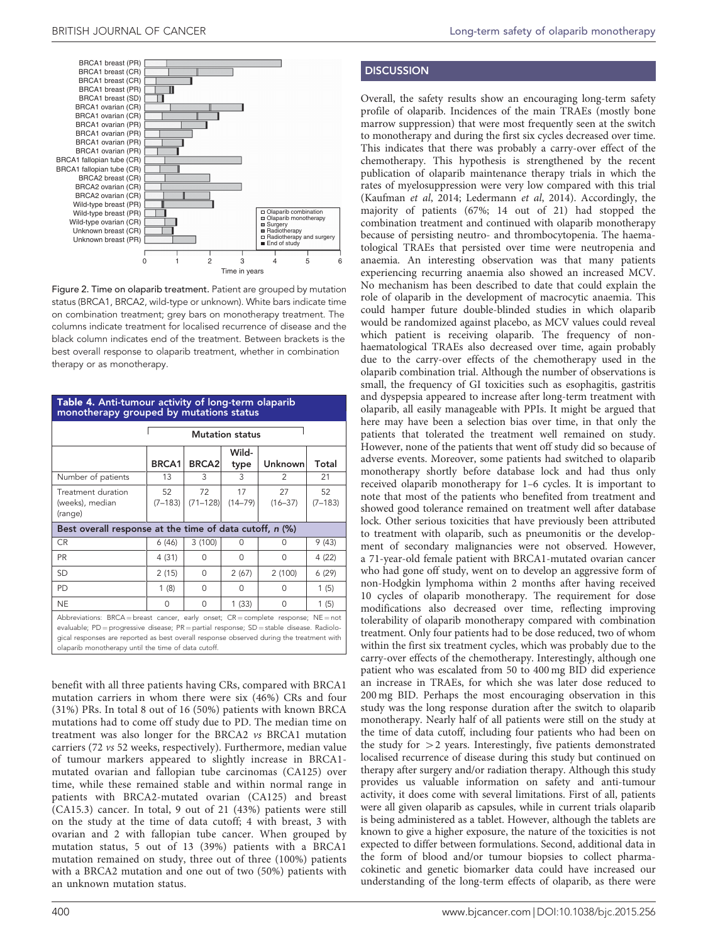<span id="page-4-0"></span>

Figure 2. Time on olaparib treatment. Patient are grouped by mutation status (BRCA1, BRCA2, wild-type or unknown). White bars indicate time on combination treatment; grey bars on monotherapy treatment. The columns indicate treatment for localised recurrence of disease and the black column indicates end of the treatment. Between brackets is the best overall response to olaparib treatment, whether in combination therapy or as monotherapy.

| Table 4. Anti-tumour activity of long-term olaparib<br>monotherapy grouped by mutations status                                                                                                                                                                                                                                         |                        |                    |                   |                   |                   |  |  |  |
|----------------------------------------------------------------------------------------------------------------------------------------------------------------------------------------------------------------------------------------------------------------------------------------------------------------------------------------|------------------------|--------------------|-------------------|-------------------|-------------------|--|--|--|
|                                                                                                                                                                                                                                                                                                                                        | <b>Mutation status</b> |                    |                   |                   |                   |  |  |  |
|                                                                                                                                                                                                                                                                                                                                        | BRCA1                  | <b>BRCA2</b>       | Wild-<br>type     | Unknown           | Total             |  |  |  |
| Number of patients                                                                                                                                                                                                                                                                                                                     | 13                     | 3                  | 3                 | $\mathfrak{p}$    | 21                |  |  |  |
| Treatment duration<br>(weeks), median<br>(range)                                                                                                                                                                                                                                                                                       | 52<br>$(7-183)$        | 72<br>$(71 - 128)$ | 17<br>$(14 - 79)$ | 27<br>$(16 - 37)$ | 52<br>$(7 - 183)$ |  |  |  |
| Best overall response at the time of data cutoff, n (%)                                                                                                                                                                                                                                                                                |                        |                    |                   |                   |                   |  |  |  |
| CR.                                                                                                                                                                                                                                                                                                                                    | 6 (46)                 | 3(100)             | 0                 | O                 | 9(43)             |  |  |  |
| <b>PR</b>                                                                                                                                                                                                                                                                                                                              | 4 (31)                 | O                  | 0                 | 0                 | 4(22)             |  |  |  |
| SD                                                                                                                                                                                                                                                                                                                                     | 2(15)                  | 0                  | 2(67)             | 2(100)            | 6(29)             |  |  |  |
| <b>PD</b>                                                                                                                                                                                                                                                                                                                              | 1(8)                   | O                  | O                 | O                 | 1(5)              |  |  |  |
| <b>NE</b>                                                                                                                                                                                                                                                                                                                              | O                      | 0                  | 1(33)             | 0                 | 1(5)              |  |  |  |
| Abbreviations: BRCA = breast cancer, early onset; $CR =$ complete response; $NE =$ not<br>evaluable; PD = progressive disease; PR = partial response; SD = stable disease. Radiolo-<br>gical responses are reported as best overall response observed during the treatment with<br>olaparib monotherapy until the time of data cutoff. |                        |                    |                   |                   |                   |  |  |  |

benefit with all three patients having CRs, compared with BRCA1 mutation carriers in whom there were six (46%) CRs and four (31%) PRs. In total 8 out of 16 (50%) patients with known BRCA mutations had to come off study due to PD. The median time on treatment was also longer for the BRCA2 vs BRCA1 mutation carriers (72 vs 52 weeks, respectively). Furthermore, median value of tumour markers appeared to slightly increase in BRCA1 mutated ovarian and fallopian tube carcinomas (CA125) over time, while these remained stable and within normal range in patients with BRCA2-mutated ovarian (CA125) and breast (CA15.3) cancer. In total, 9 out of 21 (43%) patients were still on the study at the time of data cutoff; 4 with breast, 3 with ovarian and 2 with fallopian tube cancer. When grouped by mutation status, 5 out of 13 (39%) patients with a BRCA1 mutation remained on study, three out of three (100%) patients with a BRCA2 mutation and one out of two (50%) patients with an unknown mutation status.

## **DISCUSSION**

Overall, the safety results show an encouraging long-term safety profile of olaparib. Incidences of the main TRAEs (mostly bone marrow suppression) that were most frequently seen at the switch to monotherapy and during the first six cycles decreased over time. This indicates that there was probably a carry-over effect of the chemotherapy. This hypothesis is strengthened by the recent publication of olaparib maintenance therapy trials in which the rates of myelosuppression were very low compared with this trial ([Kaufman](#page-5-0) et al, 2014; [Ledermann](#page-5-0) et al, 2014). Accordingly, the majority of patients (67%; 14 out of 21) had stopped the combination treatment and continued with olaparib monotherapy because of persisting neutro- and thrombocytopenia. The haematological TRAEs that persisted over time were neutropenia and anaemia. An interesting observation was that many patients experiencing recurring anaemia also showed an increased MCV. No mechanism has been described to date that could explain the role of olaparib in the development of macrocytic anaemia. This could hamper future double-blinded studies in which olaparib would be randomized against placebo, as MCV values could reveal which patient is receiving olaparib. The frequency of nonhaematological TRAEs also decreased over time, again probably due to the carry-over effects of the chemotherapy used in the olaparib combination trial. Although the number of observations is small, the frequency of GI toxicities such as esophagitis, gastritis and dyspepsia appeared to increase after long-term treatment with olaparib, all easily manageable with PPIs. It might be argued that here may have been a selection bias over time, in that only the patients that tolerated the treatment well remained on study. However, none of the patients that went off study did so because of adverse events. Moreover, some patients had switched to olaparib monotherapy shortly before database lock and had thus only received olaparib monotherapy for 1–6 cycles. It is important to note that most of the patients who benefited from treatment and showed good tolerance remained on treatment well after database lock. Other serious toxicities that have previously been attributed to treatment with olaparib, such as pneumonitis or the development of secondary malignancies were not observed. However, a 71-year-old female patient with BRCA1-mutated ovarian cancer who had gone off study, went on to develop an aggressive form of non-Hodgkin lymphoma within 2 months after having received 10 cycles of olaparib monotherapy. The requirement for dose modifications also decreased over time, reflecting improving tolerability of olaparib monotherapy compared with combination treatment. Only four patients had to be dose reduced, two of whom within the first six treatment cycles, which was probably due to the carry-over effects of the chemotherapy. Interestingly, although one patient who was escalated from 50 to 400 mg BID did experience an increase in TRAEs, for which she was later dose reduced to 200 mg BID. Perhaps the most encouraging observation in this study was the long response duration after the switch to olaparib monotherapy. Nearly half of all patients were still on the study at the time of data cutoff, including four patients who had been on the study for  $>2$  years. Interestingly, five patients demonstrated localised recurrence of disease during this study but continued on therapy after surgery and/or radiation therapy. Although this study provides us valuable information on safety and anti-tumour activity, it does come with several limitations. First of all, patients were all given olaparib as capsules, while in current trials olaparib is being administered as a tablet. However, although the tablets are known to give a higher exposure, the nature of the toxicities is not expected to differ between formulations. Second, additional data in the form of blood and/or tumour biopsies to collect pharmacokinetic and genetic biomarker data could have increased our understanding of the long-term effects of olaparib, as there were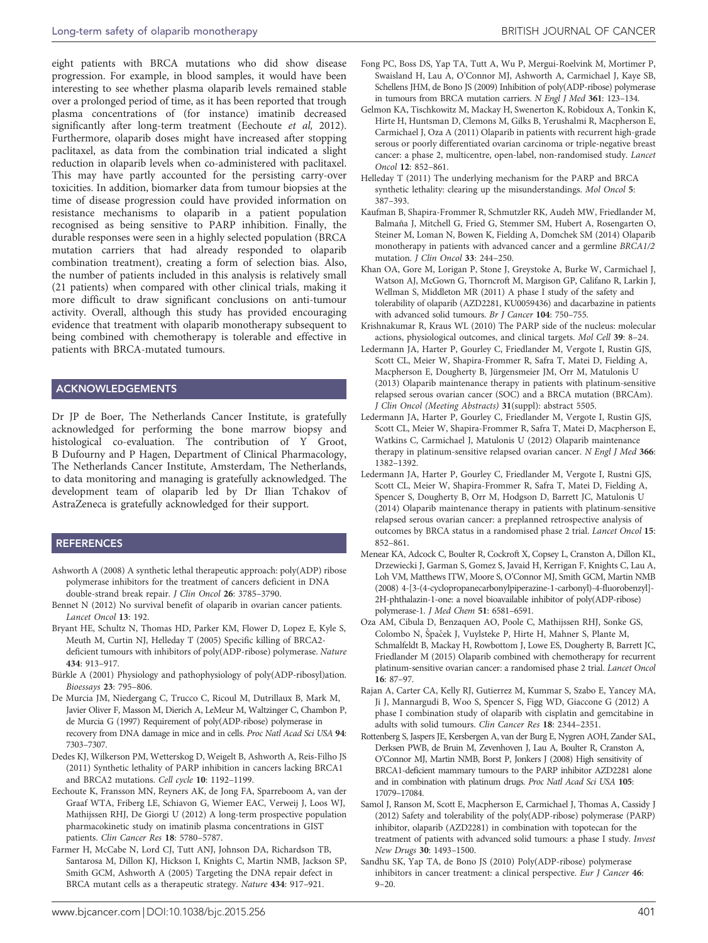<span id="page-5-0"></span>eight patients with BRCA mutations who did show disease progression. For example, in blood samples, it would have been interesting to see whether plasma olaparib levels remained stable over a prolonged period of time, as it has been reported that trough plasma concentrations of (for instance) imatinib decreased significantly after long-term treatment (Eechoute et al, 2012). Furthermore, olaparib doses might have increased after stopping paclitaxel, as data from the combination trial indicated a slight reduction in olaparib levels when co-administered with paclitaxel. This may have partly accounted for the persisting carry-over toxicities. In addition, biomarker data from tumour biopsies at the time of disease progression could have provided information on resistance mechanisms to olaparib in a patient population recognised as being sensitive to PARP inhibition. Finally, the durable responses were seen in a highly selected population (BRCA mutation carriers that had already responded to olaparib combination treatment), creating a form of selection bias. Also, the number of patients included in this analysis is relatively small (21 patients) when compared with other clinical trials, making it more difficult to draw significant conclusions on anti-tumour activity. Overall, although this study has provided encouraging evidence that treatment with olaparib monotherapy subsequent to being combined with chemotherapy is tolerable and effective in patients with BRCA-mutated tumours.

#### ACKNOWLEDGEMENTS

Dr JP de Boer, The Netherlands Cancer Institute, is gratefully acknowledged for performing the bone marrow biopsy and histological co-evaluation. The contribution of Y Groot, B Dufourny and P Hagen, Department of Clinical Pharmacology, The Netherlands Cancer Institute, Amsterdam, The Netherlands, to data monitoring and managing is gratefully acknowledged. The development team of olaparib led by Dr Ilian Tchakov of AstraZeneca is gratefully acknowledged for their support.

#### **REFERENCES**

- Ashworth A (2008) A synthetic lethal therapeutic approach: poly(ADP) ribose polymerase inhibitors for the treatment of cancers deficient in DNA double-strand break repair. J Clin Oncol 26: 3785–3790.
- Bennet N (2012) No survival benefit of olaparib in ovarian cancer patients. Lancet Oncol 13: 192.
- Bryant HE, Schultz N, Thomas HD, Parker KM, Flower D, Lopez E, Kyle S, Meuth M, Curtin NJ, Helleday T (2005) Specific killing of BRCA2 deficient tumours with inhibitors of poly(ADP-ribose) polymerase. Nature 434: 913–917.
- Bürkle A (2001) Physiology and pathophysiology of poly(ADP-ribosyl)ation. Bioessays 23: 795–806.
- De Murcia JM, Niedergang C, Trucco C, Ricoul M, Dutrillaux B, Mark M, Javier Oliver F, Masson M, Dierich A, LeMeur M, Waltzinger C, Chambon P, de Murcia G (1997) Requirement of poly(ADP-ribose) polymerase in recovery from DNA damage in mice and in cells. Proc Natl Acad Sci USA 94: 7303–7307.
- Dedes KJ, Wilkerson PM, Wetterskog D, Weigelt B, Ashworth A, Reis-Filho JS (2011) Synthetic lethality of PARP inhibition in cancers lacking BRCA1 and BRCA2 mutations. Cell cycle 10: 1192–1199.
- Eechoute K, Fransson MN, Reyners AK, de Jong FA, Sparreboom A, van der Graaf WTA, Friberg LE, Schiavon G, Wiemer EAC, Verweij J, Loos WJ, Mathijssen RHJ, De Giorgi U (2012) A long-term prospective population pharmacokinetic study on imatinib plasma concentrations in GIST patients. Clin Cancer Res 18: 5780–5787.
- Farmer H, McCabe N, Lord CJ, Tutt ANJ, Johnson DA, Richardson TB, Santarosa M, Dillon KJ, Hickson I, Knights C, Martin NMB, Jackson SP, Smith GCM, Ashworth A (2005) Targeting the DNA repair defect in BRCA mutant cells as a therapeutic strategy. Nature 434: 917–921.
- Fong PC, Boss DS, Yap TA, Tutt A, Wu P, Mergui-Roelvink M, Mortimer P, Swaisland H, Lau A, O'Connor MJ, Ashworth A, Carmichael J, Kaye SB, Schellens JHM, de Bono JS (2009) Inhibition of poly(ADP-ribose) polymerase in tumours from BRCA mutation carriers. N Engl J Med 361: 123–134.
- Gelmon KA, Tischkowitz M, Mackay H, Swenerton K, Robidoux A, Tonkin K, Hirte H, Huntsman D, Clemons M, Gilks B, Yerushalmi R, Macpherson E, Carmichael J, Oza A (2011) Olaparib in patients with recurrent high-grade serous or poorly differentiated ovarian carcinoma or triple-negative breast cancer: a phase 2, multicentre, open-label, non-randomised study. Lancet Oncol 12: 852–861.
- Helleday T (2011) The underlying mechanism for the PARP and BRCA synthetic lethality: clearing up the misunderstandings. Mol Oncol 5: 387–393.
- Kaufman B, Shapira-Frommer R, Schmutzler RK, Audeh MW, Friedlander M, Balmaña J, Mitchell G, Fried G, Stemmer SM, Hubert A, Rosengarten O, Steiner M, Loman N, Bowen K, Fielding A, Domchek SM (2014) Olaparib monotherapy in patients with advanced cancer and a germline BRCA1/2 mutation. J Clin Oncol 33: 244–250.
- Khan OA, Gore M, Lorigan P, Stone J, Greystoke A, Burke W, Carmichael J, Watson AJ, McGown G, Thorncroft M, Margison GP, Califano R, Larkin J, Wellman S, Middleton MR (2011) A phase I study of the safety and tolerability of olaparib (AZD2281, KU0059436) and dacarbazine in patients with advanced solid tumours. Br J Cancer 104: 750–755.
- Krishnakumar R, Kraus WL (2010) The PARP side of the nucleus: molecular actions, physiological outcomes, and clinical targets. Mol Cell 39: 8–24.
- Ledermann JA, Harter P, Gourley C, Friedlander M, Vergote I, Rustin GJS, Scott CL, Meier W, Shapira-Frommer R, Safra T, Matei D, Fielding A, Macpherson E, Dougherty B, Jürgensmeier JM, Orr M, Matulonis U (2013) Olaparib maintenance therapy in patients with platinum-sensitive relapsed serous ovarian cancer (SOC) and a BRCA mutation (BRCAm). J Clin Oncol (Meeting Abstracts) 31(suppl): abstract 5505.
- Ledermann JA, Harter P, Gourley C, Friedlander M, Vergote I, Rustin GJS, Scott CL, Meier W, Shapira-Frommer R, Safra T, Matei D, Macpherson E, Watkins C, Carmichael J, Matulonis U (2012) Olaparib maintenance therapy in platinum-sensitive relapsed ovarian cancer. N Engl J Med 366: 1382–1392.
- Ledermann JA, Harter P, Gourley C, Friedlander M, Vergote I, Rustni GJS, Scott CL, Meier W, Shapira-Frommer R, Safra T, Matei D, Fielding A, Spencer S, Dougherty B, Orr M, Hodgson D, Barrett JC, Matulonis U (2014) Olaparib maintenance therapy in patients with platinum-sensitive relapsed serous ovarian cancer: a preplanned retrospective analysis of outcomes by BRCA status in a randomised phase 2 trial. Lancet Oncol 15: 852–861.
- Menear KA, Adcock C, Boulter R, Cockroft X, Copsey L, Cranston A, Dillon KL, Drzewiecki J, Garman S, Gomez S, Javaid H, Kerrigan F, Knights C, Lau A, Loh VM, Matthews ITW, Moore S, O'Connor MJ, Smith GCM, Martin NMB (2008) 4-[3-(4-cyclopropanecarbonylpiperazine-1-carbonyl)-4-fluorobenzyl]- 2H-phthalazin-1-one: a novel bioavailable inhibitor of poly(ADP-ribose) polymerase-1. J Med Chem 51: 6581–6591.
- Oza AM, Cibula D, Benzaquen AO, Poole C, Mathijssen RHJ, Sonke GS, Colombo N, Špaček J, Vuylsteke P, Hirte H, Mahner S, Plante M, Schmalfeldt B, Mackay H, Rowbottom J, Lowe ES, Dougherty B, Barrett JC, Friedlander M (2015) Olaparib combined with chemotherapy for recurrent platinum-sensitive ovarian cancer: a randomised phase 2 trial. Lancet Oncol 16: 87–97.
- Rajan A, Carter CA, Kelly RJ, Gutierrez M, Kummar S, Szabo E, Yancey MA, Ji J, Mannargudi B, Woo S, Spencer S, Figg WD, Giaccone G (2012) A phase I combination study of olaparib with cisplatin and gemcitabine in adults with solid tumours. Clin Cancer Res 18: 2344–2351.
- Rottenberg S, Jaspers JE, Kersbergen A, van der Burg E, Nygren AOH, Zander SAL, Derksen PWB, de Bruin M, Zevenhoven J, Lau A, Boulter R, Cranston A, O'Connor MJ, Martin NMB, Borst P, Jonkers J (2008) High sensitivity of BRCA1-deficient mammary tumours to the PARP inhibitor AZD2281 alone and in combination with platinum drugs. Proc Natl Acad Sci USA 105: 17079–17084.
- Samol J, Ranson M, Scott E, Macpherson E, Carmichael J, Thomas A, Cassidy J (2012) Safety and tolerability of the poly(ADP-ribose) polymerase (PARP) inhibitor, olaparib (AZD2281) in combination with topotecan for the treatment of patients with advanced solid tumours: a phase I study. Invest New Drugs 30: 1493–1500.
- Sandhu SK, Yap TA, de Bono JS (2010) Poly(ADP-ribose) polymerase inhibitors in cancer treatment: a clinical perspective. Eur J Cancer 46: 9–20.